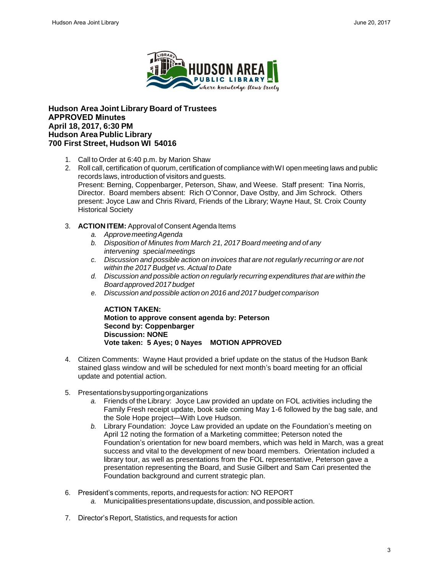

## **Hudson Area Joint Library Board of Trustees APPROVED Minutes April 18, 2017, 6:30 PM Hudson Area Public Library 700 First Street, Hudson WI 54016**

- 1. Call to Order at 6:40 p.m. by Marion Shaw
- 2. Roll call, certification of quorum, certification of compliance withWI open meeting laws and public records laws, introduction of visitors and guests. Present: Berning, Coppenbarger, Peterson, Shaw, and Weese. Staff present: Tina Norris, Director. Board members absent: Rich O'Connor, Dave Ostby, and Jim Schrock. Others present: Joyce Law and Chris Rivard, Friends of the Library; Wayne Haut, St. Croix County Historical Society
- 3. **ACTION ITEM:** Approval of Consent Agenda Items
	- *a. ApprovemeetingAgenda*
	- *b. Disposition of Minutes from March 21, 2017 Board meeting and of any intervening special meetings*
	- *c. Discussion and possible action on invoices that are not regularly recurring or are not within the 2017 Budget vs. Actual to Date*
	- *d. Discussion and possible action on regularly recurring expenditures that are within the Board approved 2017 budget*
	- *e. Discussion and possible action on 2016 and 2017 budget comparison*

## **ACTION TAKEN: Motion to approve consent agenda by: Peterson Second by: Coppenbarger Discussion: NONE Vote taken: 5 Ayes; 0 Nayes MOTION APPROVED**

- 4. Citizen Comments: Wayne Haut provided a brief update on the status of the Hudson Bank stained glass window and will be scheduled for next month's board meeting for an official update and potential action.
- 5. Presentationsbysupportingorganizations
	- *a.* Friends of the Library: Joyce Law provided an update on FOL activities including the Family Fresh receipt update, book sale coming May 1-6 followed by the bag sale, and the Sole Hope project—With Love Hudson.
- *b.* Library Foundation: Joyce Law provided an update on the Foundation's meeting on April 12 noting the formation of a Marketing committee; Peterson noted the Foundation's orientation for new board members, which was held in March, was a great success and vital to the development of new board members. Orientation included a library tour, as well as presentations from the FOL representative, Peterson gave a presentation representing the Board, and Susie Gilbert and Sam Cari presented the Foundation background and current strategic plan. Hudson Area Josepher Conserved Transform (1980)<br>
HUDSON AREA TRIP (1981) C. U. LIBRARY E. U. LIBRARY 1991<br>
PUBLIC C. LIBRARY END<br>
DRIS CONTENT CONSERVED MANUSE CONSERVED MANUSE CONSERVED MANUSE CONSERVED MANUSE CONSERVED M
	- 6. President's comments, reports, and requests for action: NO REPORT
		- a. Municipalities presentations update, discussion, and possible action.
	- 7. Director's Report, Statistics, and requests for action